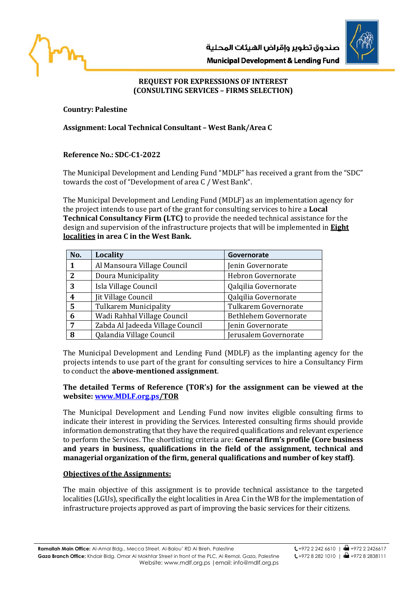



# **REQUEST FOR EXPRESSIONS OF INTEREST**

**(CONSULTING SERVICES – FIRMS SELECTION)**

### **Country: Palestine**

## **Assignment: Local Technical Consultant – West Bank/Area C**

# **Reference No.: SDC-C1-2022**

The Municipal Development and Lending Fund "MDLF" has received a grant from the "SDC" towards the cost of "Development of area C / West Bank".

The Municipal Development and Lending Fund (MDLF) as an implementation agency for the project intends to use part of the grant for consulting services to hire a **Local Technical Consultancy Firm (LTC)** to provide the needed technical assistance for the design and supervision of the infrastructure projects that will be implemented in **Eight localities in area C in the West Bank.** 

| No. | <b>Locality</b>                  | Governorate           |
|-----|----------------------------------|-----------------------|
|     | Al Mansoura Village Council      | Jenin Governorate     |
| 2   | Doura Municipality               | Hebron Governorate    |
| 3   | Isla Village Council             | Qalqilia Governorate  |
| 4   | Jit Village Council              | Qalqilia Governorate  |
| 5   | <b>Tulkarem Municipality</b>     | Tulkarem Governorate  |
| 6   | Wadi Rahhal Village Council      | Bethlehem Governorate |
| 7   | Zabda Al Jadeeda Village Council | Jenin Governorate     |
| 8   | Qalandia Village Council         | Jerusalem Governorate |

The Municipal Development and Lending Fund (MDLF) as the implanting agency for the projects intends to use part of the grant for consulting services to hire a Consultancy Firm to conduct the **above-mentioned assignment**.

#### **The detailed Terms of Reference (TOR's) for the assignment can be viewed at the website: [www.MDLF.org.ps/](http://www.mdlf.org.ps/)TOR**

The Municipal Development and Lending Fund now invites eligible consulting firms to indicate their interest in providing the Services. Interested consulting firms should provide information demonstrating that they have the required qualifications and relevant experience to perform the Services. The shortlisting criteria are: **General firm's profile (Core business and years in business, qualifications in the field of the assignment, technical and managerial organization of the firm, general qualifications and number of key staff)**.

### **Objectives of the Assignments:**

The main objective of this assignment is to provide technical assistance to the targeted localities (LGUs), specifically the eight localities in Area C in the WB for the implementation of infrastructure projects approved as part of improving the basic services for their citizens.